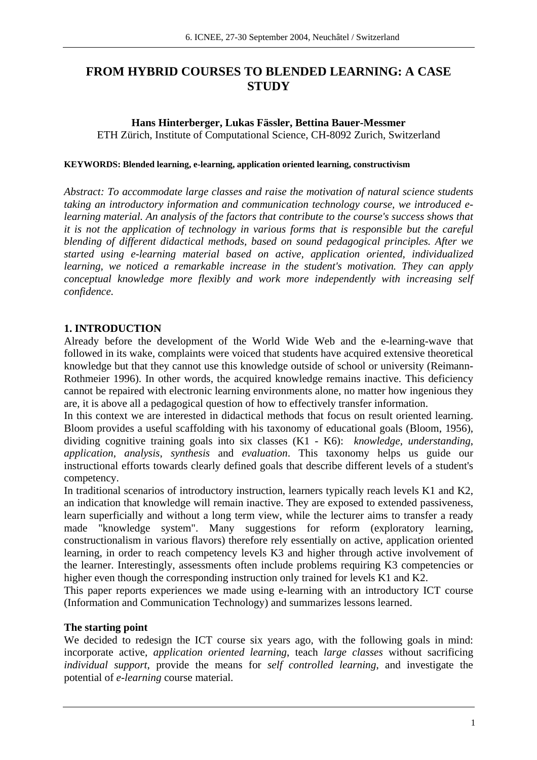# **FROM HYBRID COURSES TO BLENDED LEARNING: A CASE STUDY**

## **Hans Hinterberger, Lukas Fässler, Bettina Bauer-Messmer**

ETH Zürich, Institute of Computational Science, CH-8092 Zurich, Switzerland

### **KEYWORDS: Blended learning, e-learning, application oriented learning, constructivism**

*Abstract: To accommodate large classes and raise the motivation of natural science students taking an introductory information and communication technology course, we introduced elearning material. An analysis of the factors that contribute to the course's success shows that it is not the application of technology in various forms that is responsible but the careful blending of different didactical methods, based on sound pedagogical principles. After we started using e-learning material based on active, application oriented, individualized learning, we noticed a remarkable increase in the student's motivation. They can apply conceptual knowledge more flexibly and work more independently with increasing self confidence.* 

# **1. INTRODUCTION**

Already before the development of the World Wide Web and the e-learning-wave that followed in its wake, complaints were voiced that students have acquired extensive theoretical knowledge but that they cannot use this knowledge outside of school or university (Reimann-Rothmeier 1996). In other words, the acquired knowledge remains inactive. This deficiency cannot be repaired with electronic learning environments alone, no matter how ingenious they are, it is above all a pedagogical question of how to effectively transfer information.

In this context we are interested in didactical methods that focus on result oriented learning. Bloom provides a useful scaffolding with his taxonomy of educational goals (Bloom, 1956), dividing cognitive training goals into six classes (K1 - K6): *knowledge*, *understanding*, *application*, *analysis*, *synthesis* and *evaluation*. This taxonomy helps us guide our instructional efforts towards clearly defined goals that describe different levels of a student's competency.

In traditional scenarios of introductory instruction, learners typically reach levels K1 and K2, an indication that knowledge will remain inactive. They are exposed to extended passiveness, learn superficially and without a long term view, while the lecturer aims to transfer a ready made "knowledge system". Many suggestions for reform (exploratory learning, constructionalism in various flavors) therefore rely essentially on active, application oriented learning, in order to reach competency levels K3 and higher through active involvement of the learner. Interestingly, assessments often include problems requiring K3 competencies or higher even though the corresponding instruction only trained for levels K1 and K2.

This paper reports experiences we made using e-learning with an introductory ICT course (Information and Communication Technology) and summarizes lessons learned.

### **The starting point**

We decided to redesign the ICT course six years ago, with the following goals in mind: incorporate active, *application oriented learning*, teach *large classes* without sacrificing *individual support*, provide the means for *self controlled learning*, and investigate the potential of *e-learning* course material.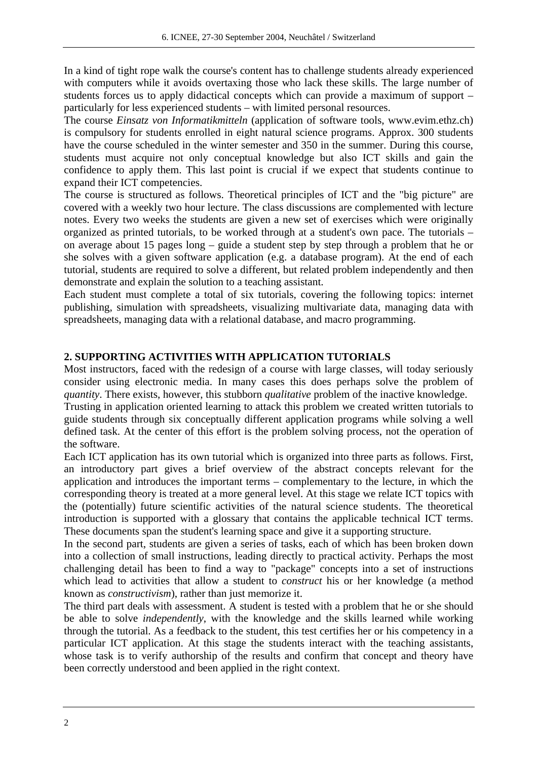In a kind of tight rope walk the course's content has to challenge students already experienced with computers while it avoids overtaxing those who lack these skills. The large number of students forces us to apply didactical concepts which can provide a maximum of support – particularly for less experienced students – with limited personal resources.

The course *Einsatz von Informatikmitteln* (application of software tools, www.evim.ethz.ch) is compulsory for students enrolled in eight natural science programs. Approx. 300 students have the course scheduled in the winter semester and 350 in the summer. During this course, students must acquire not only conceptual knowledge but also ICT skills and gain the confidence to apply them. This last point is crucial if we expect that students continue to expand their ICT competencies.

The course is structured as follows. Theoretical principles of ICT and the "big picture" are covered with a weekly two hour lecture. The class discussions are complemented with lecture notes. Every two weeks the students are given a new set of exercises which were originally organized as printed tutorials, to be worked through at a student's own pace. The tutorials – on average about 15 pages long – guide a student step by step through a problem that he or she solves with a given software application (e.g. a database program). At the end of each tutorial, students are required to solve a different, but related problem independently and then demonstrate and explain the solution to a teaching assistant.

Each student must complete a total of six tutorials, covering the following topics: internet publishing, simulation with spreadsheets, visualizing multivariate data, managing data with spreadsheets, managing data with a relational database, and macro programming.

# **2. SUPPORTING ACTIVITIES WITH APPLICATION TUTORIALS**

Most instructors, faced with the redesign of a course with large classes, will today seriously consider using electronic media. In many cases this does perhaps solve the problem of *quantity*. There exists, however, this stubborn *qualitative* problem of the inactive knowledge.

Trusting in application oriented learning to attack this problem we created written tutorials to guide students through six conceptually different application programs while solving a well defined task. At the center of this effort is the problem solving process, not the operation of the software.

Each ICT application has its own tutorial which is organized into three parts as follows. First, an introductory part gives a brief overview of the abstract concepts relevant for the application and introduces the important terms – complementary to the lecture, in which the corresponding theory is treated at a more general level. At this stage we relate ICT topics with the (potentially) future scientific activities of the natural science students. The theoretical introduction is supported with a glossary that contains the applicable technical ICT terms. These documents span the student's learning space and give it a supporting structure.

In the second part, students are given a series of tasks, each of which has been broken down into a collection of small instructions, leading directly to practical activity. Perhaps the most challenging detail has been to find a way to "package" concepts into a set of instructions which lead to activities that allow a student to *construct* his or her knowledge (a method known as *constructivism*), rather than just memorize it.

The third part deals with assessment. A student is tested with a problem that he or she should be able to solve *independently*, with the knowledge and the skills learned while working through the tutorial. As a feedback to the student, this test certifies her or his competency in a particular ICT application. At this stage the students interact with the teaching assistants, whose task is to verify authorship of the results and confirm that concept and theory have been correctly understood and been applied in the right context.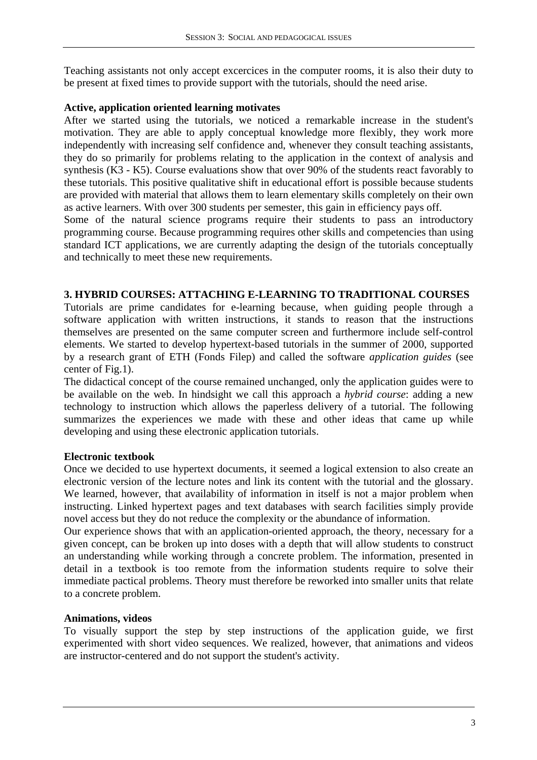Teaching assistants not only accept excercices in the computer rooms, it is also their duty to be present at fixed times to provide support with the tutorials, should the need arise.

### **Active, application oriented learning motivates**

After we started using the tutorials, we noticed a remarkable increase in the student's motivation. They are able to apply conceptual knowledge more flexibly, they work more independently with increasing self confidence and, whenever they consult teaching assistants, they do so primarily for problems relating to the application in the context of analysis and synthesis (K3 - K5). Course evaluations show that over 90% of the students react favorably to these tutorials. This positive qualitative shift in educational effort is possible because students are provided with material that allows them to learn elementary skills completely on their own as active learners. With over 300 students per semester, this gain in efficiency pays off.

Some of the natural science programs require their students to pass an introductory programming course. Because programming requires other skills and competencies than using standard ICT applications, we are currently adapting the design of the tutorials conceptually and technically to meet these new requirements.

### **3. HYBRID COURSES: ATTACHING E-LEARNING TO TRADITIONAL COURSES**

Tutorials are prime candidates for e-learning because, when guiding people through a software application with written instructions, it stands to reason that the instructions themselves are presented on the same computer screen and furthermore include self-control elements. We started to develop hypertext-based tutorials in the summer of 2000, supported by a research grant of ETH (Fonds Filep) and called the software *application guides* (see center of Fig.1).

The didactical concept of the course remained unchanged, only the application guides were to be available on the web. In hindsight we call this approach a *hybrid course*: adding a new technology to instruction which allows the paperless delivery of a tutorial. The following summarizes the experiences we made with these and other ideas that came up while developing and using these electronic application tutorials.

### **Electronic textbook**

Once we decided to use hypertext documents, it seemed a logical extension to also create an electronic version of the lecture notes and link its content with the tutorial and the glossary. We learned, however, that availability of information in itself is not a major problem when instructing. Linked hypertext pages and text databases with search facilities simply provide novel access but they do not reduce the complexity or the abundance of information.

Our experience shows that with an application-oriented approach, the theory, necessary for a given concept, can be broken up into doses with a depth that will allow students to construct an understanding while working through a concrete problem. The information, presented in detail in a textbook is too remote from the information students require to solve their immediate pactical problems. Theory must therefore be reworked into smaller units that relate to a concrete problem.

### **Animations, videos**

To visually support the step by step instructions of the application guide, we first experimented with short video sequences. We realized, however, that animations and videos are instructor-centered and do not support the student's activity.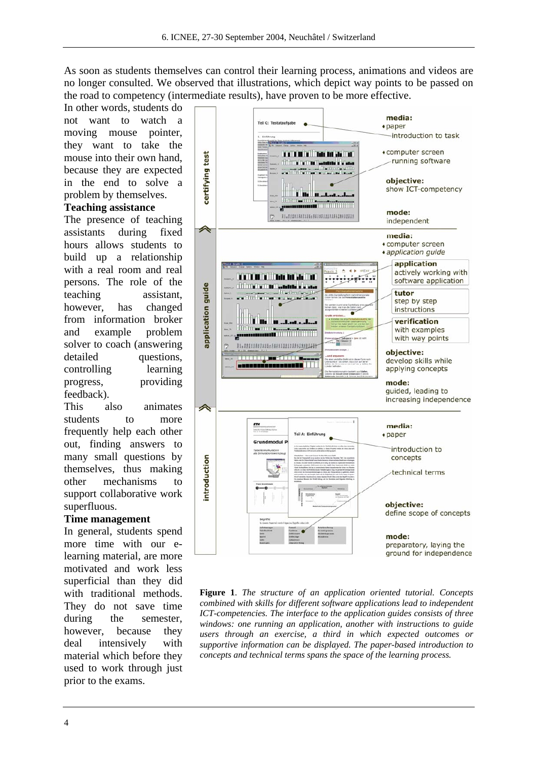As soon as students themselves can control their learning process, animations and videos are no longer consulted. We observed that illustrations, which depict way points to be passed on the road to competency (intermediate results), have proven to be more effective.

In other words, students do not want to watch a moving mouse pointer, they want to take the mouse into their own hand, because they are expected in the end to solve a problem by themselves.

#### **Teaching assistance**

The presence of teaching assistants during fixed hours allows students to build up a relationship with a real room and real persons. The role of the teaching assistant, however, has changed from information broker and example problem solver to coach (answering detailed questions, controlling learning progress, providing feedback).

This also animates students to more frequently help each other out, finding answers to many small questions by themselves, thus making other mechanisms to support collaborative work superfluous.

## **Time management**

In general, students spend more time with our elearning material, are more motivated and work less superficial than they did with traditional methods. They do not save time during the semester, however, because they deal intensively with material which before they used to work through just prior to the exams.



**Figure 1**. *The structure of an application oriented tutorial. Concepts combined with skills for different software applications lead to independent ICT-competencies. The interface to the application guides consists of three windows: one running an application, another with instructions to guide users through an exercise, a third in which expected outcomes or supportive information can be displayed. The paper-based introduction to concepts and technical terms spans the space of the learning process.*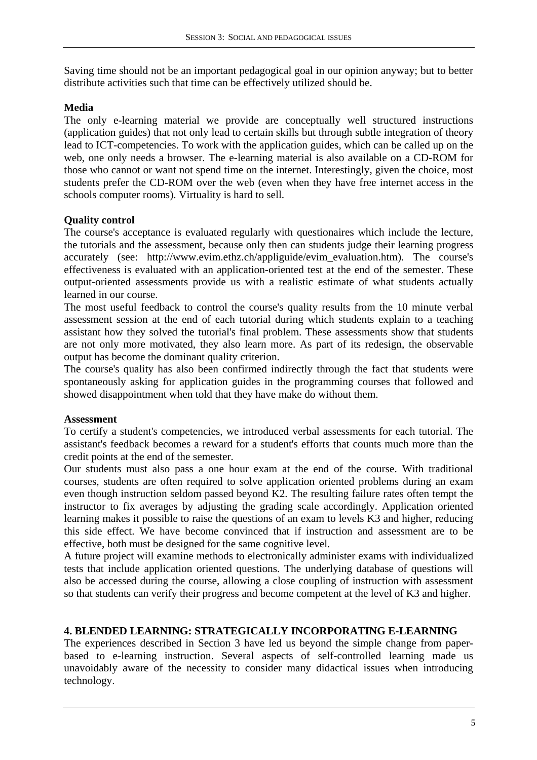Saving time should not be an important pedagogical goal in our opinion anyway; but to better distribute activities such that time can be effectively utilized should be.

# **Media**

The only e-learning material we provide are conceptually well structured instructions (application guides) that not only lead to certain skills but through subtle integration of theory lead to ICT-competencies. To work with the application guides, which can be called up on the web, one only needs a browser. The e-learning material is also available on a CD-ROM for those who cannot or want not spend time on the internet. Interestingly, given the choice, most students prefer the CD-ROM over the web (even when they have free internet access in the schools computer rooms). Virtuality is hard to sell.

# **Quality control**

The course's acceptance is evaluated regularly with questionaires which include the lecture, the tutorials and the assessment, because only then can students judge their learning progress accurately (see: http://www.evim.ethz.ch/appliguide/evim\_evaluation.htm). The course's effectiveness is evaluated with an application-oriented test at the end of the semester. These output-oriented assessments provide us with a realistic estimate of what students actually learned in our course.

The most useful feedback to control the course's quality results from the 10 minute verbal assessment session at the end of each tutorial during which students explain to a teaching assistant how they solved the tutorial's final problem. These assessments show that students are not only more motivated, they also learn more. As part of its redesign, the observable output has become the dominant quality criterion.

The course's quality has also been confirmed indirectly through the fact that students were spontaneously asking for application guides in the programming courses that followed and showed disappointment when told that they have make do without them.

# **Assessment**

To certify a student's competencies, we introduced verbal assessments for each tutorial. The assistant's feedback becomes a reward for a student's efforts that counts much more than the credit points at the end of the semester.

Our students must also pass a one hour exam at the end of the course. With traditional courses, students are often required to solve application oriented problems during an exam even though instruction seldom passed beyond K2. The resulting failure rates often tempt the instructor to fix averages by adjusting the grading scale accordingly. Application oriented learning makes it possible to raise the questions of an exam to levels K3 and higher, reducing this side effect. We have become convinced that if instruction and assessment are to be effective, both must be designed for the same cognitive level.

A future project will examine methods to electronically administer exams with individualized tests that include application oriented questions. The underlying database of questions will also be accessed during the course, allowing a close coupling of instruction with assessment so that students can verify their progress and become competent at the level of K3 and higher.

# **4. BLENDED LEARNING: STRATEGICALLY INCORPORATING E-LEARNING**

The experiences described in Section 3 have led us beyond the simple change from paperbased to e-learning instruction. Several aspects of self-controlled learning made us unavoidably aware of the necessity to consider many didactical issues when introducing technology.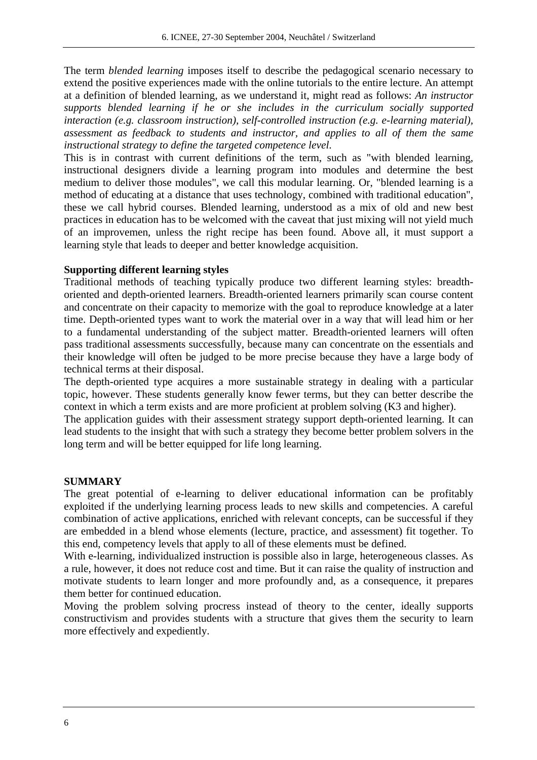The term *blended learning* imposes itself to describe the pedagogical scenario necessary to extend the positive experiences made with the online tutorials to the entire lecture. An attempt at a definition of blended learning, as we understand it, might read as follows: *An instructor supports blended learning if he or she includes in the curriculum socially supported interaction (e.g. classroom instruction), self-controlled instruction (e.g. e-learning material), assessment as feedback to students and instructor, and applies to all of them the same instructional strategy to define the targeted competence level*.

This is in contrast with current definitions of the term, such as "with blended learning, instructional designers divide a learning program into modules and determine the best medium to deliver those modules", we call this modular learning. Or, "blended learning is a method of educating at a distance that uses technology, combined with traditional education", these we call hybrid courses. Blended learning, understood as a mix of old and new best practices in education has to be welcomed with the caveat that just mixing will not yield much of an improvemen, unless the right recipe has been found. Above all, it must support a learning style that leads to deeper and better knowledge acquisition.

### **Supporting different learning styles**

Traditional methods of teaching typically produce two different learning styles: breadthoriented and depth-oriented learners. Breadth-oriented learners primarily scan course content and concentrate on their capacity to memorize with the goal to reproduce knowledge at a later time. Depth-oriented types want to work the material over in a way that will lead him or her to a fundamental understanding of the subject matter. Breadth-oriented learners will often pass traditional assessments successfully, because many can concentrate on the essentials and their knowledge will often be judged to be more precise because they have a large body of technical terms at their disposal.

The depth-oriented type acquires a more sustainable strategy in dealing with a particular topic, however. These students generally know fewer terms, but they can better describe the context in which a term exists and are more proficient at problem solving (K3 and higher).

The application guides with their assessment strategy support depth-oriented learning. It can lead students to the insight that with such a strategy they become better problem solvers in the long term and will be better equipped for life long learning.

### **SUMMARY**

The great potential of e-learning to deliver educational information can be profitably exploited if the underlying learning process leads to new skills and competencies. A careful combination of active applications, enriched with relevant concepts, can be successful if they are embedded in a blend whose elements (lecture, practice, and assessment) fit together. To this end, competency levels that apply to all of these elements must be defined.

With e-learning, individualized instruction is possible also in large, heterogeneous classes. As a rule, however, it does not reduce cost and time. But it can raise the quality of instruction and motivate students to learn longer and more profoundly and, as a consequence, it prepares them better for continued education.

Moving the problem solving procress instead of theory to the center, ideally supports constructivism and provides students with a structure that gives them the security to learn more effectively and expediently.